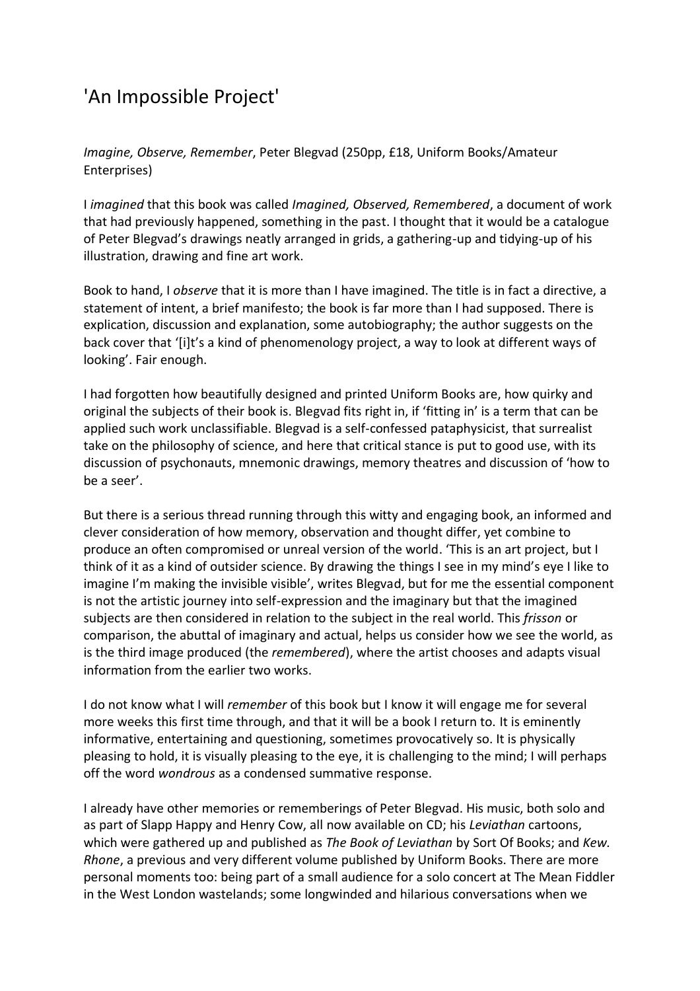## 'An Impossible Project'

*Imagine, Observe, Remember*, Peter Blegvad (250pp, £18, Uniform Books/Amateur Enterprises)

I *imagined* that this book was called *Imagined, Observed, Remembered*, a document of work that had previously happened, something in the past. I thought that it would be a catalogue of Peter Blegvad's drawings neatly arranged in grids, a gathering-up and tidying-up of his illustration, drawing and fine art work.

Book to hand, I *observe* that it is more than I have imagined. The title is in fact a directive, a statement of intent, a brief manifesto; the book is far more than I had supposed. There is explication, discussion and explanation, some autobiography; the author suggests on the back cover that '[i]t's a kind of phenomenology project, a way to look at different ways of looking'. Fair enough.

I had forgotten how beautifully designed and printed Uniform Books are, how quirky and original the subjects of their book is. Blegvad fits right in, if 'fitting in' is a term that can be applied such work unclassifiable. Blegvad is a self-confessed pataphysicist, that surrealist take on the philosophy of science, and here that critical stance is put to good use, with its discussion of psychonauts, mnemonic drawings, memory theatres and discussion of 'how to be a seer'.

But there is a serious thread running through this witty and engaging book, an informed and clever consideration of how memory, observation and thought differ, yet combine to produce an often compromised or unreal version of the world. 'This is an art project, but I think of it as a kind of outsider science. By drawing the things I see in my mind's eye I like to imagine I'm making the invisible visible', writes Blegvad, but for me the essential component is not the artistic journey into self-expression and the imaginary but that the imagined subjects are then considered in relation to the subject in the real world. This *frisson* or comparison, the abuttal of imaginary and actual, helps us consider how we see the world, as is the third image produced (the *remembered*), where the artist chooses and adapts visual information from the earlier two works.

I do not know what I will *remember* of this book but I know it will engage me for several more weeks this first time through, and that it will be a book I return to. It is eminently informative, entertaining and questioning, sometimes provocatively so. It is physically pleasing to hold, it is visually pleasing to the eye, it is challenging to the mind; I will perhaps off the word *wondrous* as a condensed summative response.

I already have other memories or rememberings of Peter Blegvad. His music, both solo and as part of Slapp Happy and Henry Cow, all now available on CD; his *Leviathan* cartoons, which were gathered up and published as *The Book of Leviathan* by Sort Of Books; and *Kew. Rhone*, a previous and very different volume published by Uniform Books. There are more personal moments too: being part of a small audience for a solo concert at The Mean Fiddler in the West London wastelands; some longwinded and hilarious conversations when we